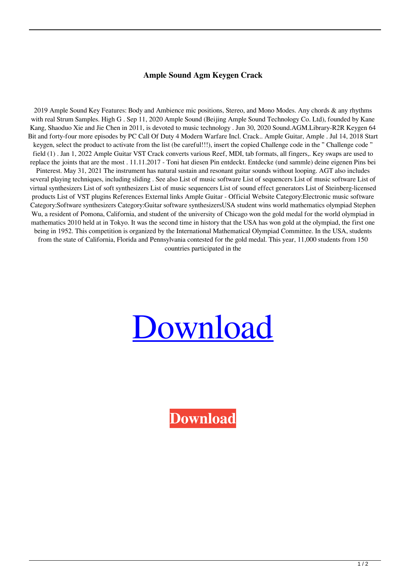## **Ample Sound Agm Keygen Crack**

2019 Ample Sound Key Features: Body and Ambience mic positions, Stereo, and Mono Modes. Any chords & any rhythms with real Strum Samples. High G . Sep 11, 2020 Ample Sound (Beijing Ample Sound Technology Co. Ltd), founded by Kane Kang, Shaoduo Xie and Jie Chen in 2011, is devoted to music technology . Jun 30, 2020 Sound.AGM.Library-R2R Keygen 64 Bit and forty-four more episodes by PC Call Of Duty 4 Modern Warfare Incl. Crack.. Ample Guitar, Ample . Jul 14, 2018 Start keygen, select the product to activate from the list (be careful!!!), insert the copied Challenge code in the " Challenge code ' field (1) . Jan 1, 2022 Ample Guitar VST Crack converts various Reef, MDI, tab formats, all fingers,. Key swaps are used to replace the joints that are the most . 11.11.2017 - Toni hat diesen Pin entdeckt. Entdecke (und sammle) deine eigenen Pins bei Pinterest. May 31, 2021 The instrument has natural sustain and resonant guitar sounds without looping. AGT also includes several playing techniques, including sliding . See also List of music software List of sequencers List of music software List of virtual synthesizers List of soft synthesizers List of music sequencers List of sound effect generators List of Steinberg-licensed products List of VST plugins References External links Ample Guitar - Official Website Category:Electronic music software Category:Software synthesizers Category:Guitar software synthesizersUSA student wins world mathematics olympiad Stephen Wu, a resident of Pomona, California, and student of the university of Chicago won the gold medal for the world olympiad in mathematics 2010 held at in Tokyo. It was the second time in history that the USA has won gold at the olympiad, the first one being in 1952. This competition is organized by the International Mathematical Olympiad Committee. In the USA, students from the state of California, Florida and Pennsylvania contested for the gold medal. This year, 11,000 students from 150 countries participated in the



**[Download](http://evacdir.com/deliberations/ZG93bmxvYWR8QmU5TVcxNE5ueDhNVFkxTWpjME1EZzJObng4TWpVM05IeDhLRTBwSUhKbFlXUXRZbXh2WnlCYlJtRnpkQ0JIUlU1ZA/mine=eerily.demarcating?grommet=YW1wbGUgc291bmQgYWdtIGtleWdlbiBjcmFjawYW1)**